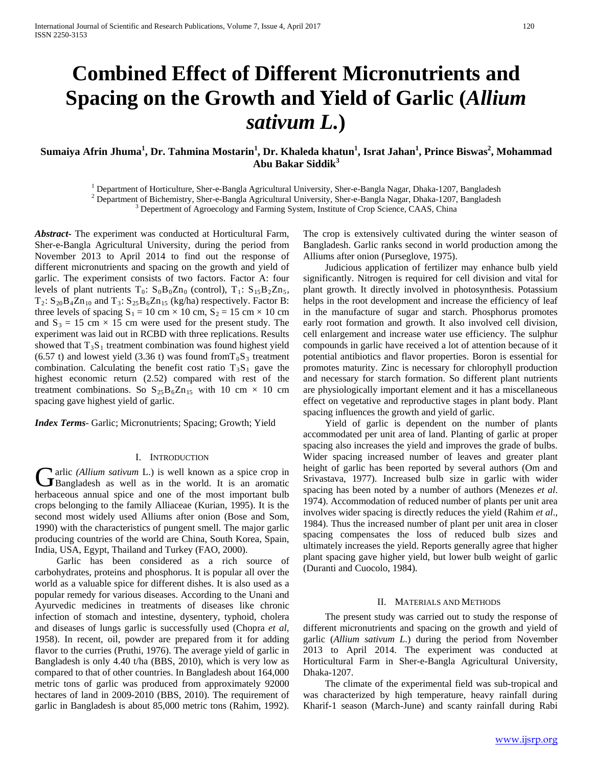# **Combined Effect of Different Micronutrients and Spacing on the Growth and Yield of Garlic (***Allium sativum L.***)**

# $\bf{Suma}$ iya Afrin Jhuma<sup>1</sup>, Dr. Tahmina Mostarin<sup>1</sup>, Dr. Khaleda khatun<sup>1</sup>, Israt Jahan<sup>1</sup>, Prince Biswas<sup>2</sup>, Mohammad **Abu Bakar Siddik<sup>3</sup>**

<sup>1</sup> Department of Horticulture, Sher-e-Bangla Agricultural University, Sher-e-Bangla Nagar, Dhaka-1207, Bangladesh<sup>2</sup> Department of Bichemistry, Sher-e-Bangla Agricultural University, Sher-e-Bangla Nagar, Dhaka-1207, Bang

*Abstract***-** The experiment was conducted at Horticultural Farm, Sher-e-Bangla Agricultural University, during the period from November 2013 to April 2014 to find out the response of different micronutrients and spacing on the growth and yield of garlic. The experiment consists of two factors. Factor A: four levels of plant nutrients  $T_0$ :  $S_0B_0Zn_0$  (control),  $T_1$ :  $S_{15}B_2Zn_5$ ,  $T_2$ :  $S_{20}B_4Zn_{10}$  and  $T_3$ :  $S_{25}B_6Zn_{15}$  (kg/ha) respectively. Factor B: three levels of spacing  $S_1 = 10$  cm  $\times$  10 cm,  $S_2 = 15$  cm  $\times$  10 cm and  $S_3 = 15$  cm  $\times$  15 cm were used for the present study. The experiment was laid out in RCBD with three replications. Results showed that  $T_3S_1$  treatment combination was found highest yield (6.57 t) and lowest yield (3.36 t) was found from  $T_0S_3$  treatment combination. Calculating the benefit cost ratio  $T_3S_1$  gave the highest economic return (2.52) compared with rest of the treatment combinations. So  $S_{25}B_6Zn_{15}$  with 10 cm  $\times$  10 cm spacing gave highest yield of garlic.

*Index Terms*- Garlic; Micronutrients; Spacing; Growth; Yield

#### I. INTRODUCTION

arlic *(Allium sativum* L.) is well known as a spice crop in Garlic (Allium sativum L.) is well known as a spice crop in<br>
Bangladesh as well as in the world. It is an aromatic herbaceous annual spice and one of the most important bulb crops belonging to the family Alliaceae (Kurian, 1995). It is the second most widely used Alliums after onion (Bose and Som, 1990) with the characteristics of pungent smell. The major garlic producing countries of the world are China, South Korea, Spain, India, USA, Egypt, Thailand and Turkey (FAO, 2000).

 Garlic has been considered as a rich source of carbohydrates, proteins and phosphorus. It is popular all over the world as a valuable spice for different dishes. It is also used as a popular remedy for various diseases. According to the Unani and Ayurvedic medicines in treatments of diseases like chronic infection of stomach and intestine, dysentery, typhoid, cholera and diseases of lungs garlic is successfully used (Chopra *et al,* 1958). In recent, oil, powder are prepared from it for adding flavor to the curries (Pruthi, 1976). The average yield of garlic in Bangladesh is only 4.40 t/ha (BBS, 2010), which is very low as compared to that of other countries. In Bangladesh about 164,000 metric tons of garlic was produced from approximately 92000 hectares of land in 2009-2010 (BBS, 2010). The requirement of garlic in Bangladesh is about 85,000 metric tons (Rahim, 1992).

The crop is extensively cultivated during the winter season of Bangladesh. Garlic ranks second in world production among the Alliums after onion (Purseglove, 1975).

 Judicious application of fertilizer may enhance bulb yield significantly. Nitrogen is required for cell division and vital for plant growth. It directly involved in photosynthesis. Potassium helps in the root development and increase the efficiency of leaf in the manufacture of sugar and starch. Phosphorus promotes early root formation and growth. It also involved cell division, cell enlargement and increase water use efficiency. The sulphur compounds in garlic have received a lot of attention because of it potential antibiotics and flavor properties. Boron is essential for promotes maturity. Zinc is necessary for chlorophyll production and necessary for starch formation. So different plant nutrients are physiologically important element and it has a miscellaneous effect on vegetative and reproductive stages in plant body. Plant spacing influences the growth and yield of garlic.

 Yield of garlic is dependent on the number of plants accommodated per unit area of land. Planting of garlic at proper spacing also increases the yield and improves the grade of bulbs. Wider spacing increased number of leaves and greater plant height of garlic has been reported by several authors (Om and Srivastava, 1977). Increased bulb size in garlic with wider spacing has been noted by a number of authors (Menezes *et al*. 1974). Accommodation of reduced number of plants per unit area involves wider spacing is directly reduces the yield (Rahim *et al*., 1984). Thus the increased number of plant per unit area in closer spacing compensates the loss of reduced bulb sizes and ultimately increases the yield. Reports generally agree that higher plant spacing gave higher yield, but lower bulb weight of garlic (Duranti and Cuocolo, 1984).

#### II. MATERIALS AND METHODS

 The present study was carried out to study the response of different micronutrients and spacing on the growth and yield of garlic (*Allium sativum L.*) during the period from November 2013 to April 2014. The experiment was conducted at Horticultural Farm in Sher-e-Bangla Agricultural University, Dhaka-1207.

 The climate of the experimental field was sub-tropical and was characterized by high temperature, heavy rainfall during Kharif-1 season (March-June) and scanty rainfall during Rabi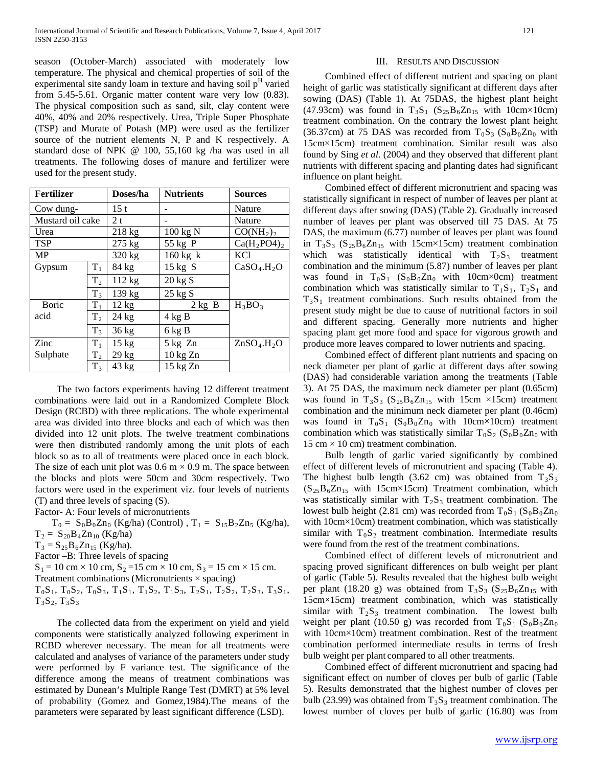season (October-March) associated with moderately low temperature. The physical and chemical properties of soil of the experimental site sandy loam in texture and having soil  $p<sup>H</sup>$  varied from 5.45-5.61. Organic matter content ware very low (0.83). The physical composition such as sand, silt, clay content were 40%, 40% and 20% respectively. Urea, Triple Super Phosphate (TSP) and Murate of Potash (MP) were used as the fertilizer source of the nutrient elements N, P and K respectively. A standard dose of NPK @ 100, 55,160 kg /ha was used in all treatments. The following doses of manure and fertilizer were used for the present study.

| <b>Fertilizer</b> |                | Doses/ha         | <b>Nutrients</b>   | <b>Sources</b>                      |
|-------------------|----------------|------------------|--------------------|-------------------------------------|
| Cow dung-         |                | 15t              |                    | Nature                              |
| Mustard oil cake  |                | 2t               |                    | Nature                              |
| Urea              |                | $218 \text{ kg}$ | 100 kg N           | CO(NH <sub>2</sub> ) <sub>2</sub>   |
| TSP               |                | $275$ kg         | 55 kg P            | $Ca(H_2PO4)_2$                      |
| MP                |                | 320 kg           | $160 \text{ kg}$ k | <b>KCl</b>                          |
| Gypsum            | $T_1$          | 84 kg            | $15 \text{ kg}$ S  | CaSO <sub>4</sub> .H <sub>2</sub> O |
|                   | T <sub>2</sub> | 112 kg           | $20 \text{ kg}$ S  |                                     |
|                   | $T_3$          | 139 kg           | $25 \text{ kg}$ S  |                                     |
| Boric             | $T_{1}$        | $12 \text{ kg}$  | $2$ kg B           | $H_3BO_3$                           |
| acid              | T <sub>2</sub> | $24$ kg          | $4$ kg B           |                                     |
|                   | $T_3$          | 36 kg            | 6 kg B             |                                     |
| Zinc              | $T_1$          | $15 \text{ kg}$  | $5$ kg $Zn$        | ZnSO <sub>4</sub> .H <sub>2</sub> O |
| Sulphate          | $\rm T_2$      | $29 \text{ kg}$  | 10 kg Zn           |                                     |
|                   | $T_3$          | 43 kg            | $15$ kg $Zn$       |                                     |

 The two factors experiments having 12 different treatment combinations were laid out in a Randomized Complete Block Design (RCBD) with three replications. The whole experimental area was divided into three blocks and each of which was then divided into 12 unit plots. The twelve treatment combinations were then distributed randomly among the unit plots of each block so as to all of treatments were placed once in each block. The size of each unit plot was  $0.6 \text{ m} \times 0.9 \text{ m}$ . The space between the blocks and plots were 50cm and 30cm respectively. Two factors were used in the experiment viz. four levels of nutrients (T) and three levels of spacing (S).

Factor- A: Four levels of micronutrients

 $T_0 = S_0 B_0 Z n_0$  (Kg/ha) (Control),  $T_1 = S_{15} B_2 Z n_5$  (Kg/ha),  $T_2 = S_{20}B_4Zn_{10}$  (Kg/ha)  $T_3 = S_{25}B_6Zn_{15}$  (Kg/ha). Factor –B: Three levels of spacing  $S_1 = 10$  cm  $\times$  10 cm,  $S_2 = 15$  cm  $\times$  10 cm,  $S_3 = 15$  cm  $\times$  15 cm. Treatment combinations (Micronutrients  $\times$  spacing)

 $T_0S_1$ ,  $T_0S_2$ ,  $T_0S_3$ ,  $T_1S_1$ ,  $T_1S_2$ ,  $T_1S_3$ ,  $T_2S_1$ ,  $T_2S_2$ ,  $T_2S_3$ ,  $T_3S_1$ ,  $T_3S_2, T_3S_3$ 

 The collected data from the experiment on yield and yield components were statistically analyzed following experiment in RCBD wherever necessary. The mean for all treatments were calculated and analyses of variance of the parameters under study were performed by F variance test. The significance of the difference among the means of treatment combinations was estimated by Dunean's Multiple Range Test (DMRT) at 5% level of probability (Gomez and Gomez,1984).The means of the parameters were separated by least significant difference (LSD).

#### III. RESULTS AND DISCUSSION

 Combined effect of different nutrient and spacing on plant height of garlic was statistically significant at different days after sowing (DAS) (Table 1). At 75DAS, the highest plant height (47.93cm) was found in  $T_3S_1$  ( $S_{25}B_6Zn_{15}$  with 10cm×10cm) treatment combination. On the contrary the lowest plant height (36.37cm) at 75 DAS was recorded from  $T_0S_3$  ( $S_0B_0Zn_0$  with 15cm×15cm) treatment combination. Similar result was also found by Sing *et al*. (2004) and they observed that different plant nutrients with different spacing and planting dates had significant influence on plant height.

 Combined effect of different micronutrient and spacing was statistically significant in respect of number of leaves per plant at different days after sowing (DAS) (Table 2). Gradually increased number of leaves per plant was observed till 75 DAS. At 75 DAS, the maximum (6.77) number of leaves per plant was found in  $T_3S_3$  ( $S_{25}B_6Zn_{15}$  with 15cm×15cm) treatment combination which was statistically identical with  $T_2S_3$  treatment combination and the minimum (5.87) number of leaves per plant was found in  $T_0S_1$  ( $S_0B_0Zn_0$  with 10cm×0cm) treatment combination which was statistically similar to  $T_1S_1$ ,  $T_2S_1$  and  $T_3S_1$  treatment combinations. Such results obtained from the present study might be due to cause of nutritional factors in soil and different spacing. Generally more nutrients and higher spacing plant get more food and space for vigorous growth and produce more leaves compared to lower nutrients and spacing.

 Combined effect of different plant nutrients and spacing on neck diameter per plant of garlic at different days after sowing (DAS) had considerable variation among the treatments (Table 3). At 75 DAS, the maximum neck diameter per plant (0.65cm) was found in  $T_3S_3$  ( $S_{25}B_6Zn_{15}$  with 15cm ×15cm) treatment combination and the minimum neck diameter per plant (0.46cm) was found in  $T_0S_1$  ( $S_0B_0Zn_0$  with 10cm×10cm) treatment combination which was statistically similar  $T_0S_2$  ( $S_0B_0Zn_0$  with 15 cm  $\times$  10 cm) treatment combination.

 Bulb length of garlic varied significantly by combined effect of different levels of micronutrient and spacing (Table 4). The highest bulb length (3.62 cm) was obtained from  $T_3S_3$  $(S_{25}B_6Zn_{15}$  with 15cm×15cm) Treatment combination, which was statistically similar with  $T_2S_3$  treatment combination. The lowest bulb height (2.81 cm) was recorded from  $T_0S_1 (S_0B_0Zn_0)$ with 10cm×10cm) treatment combination, which was statistically similar with  $T_0S_2$  treatment combination. Intermediate results were found from the rest of the treatment combinations.

 Combined effect of different levels of micronutrient and spacing proved significant differences on bulb weight per plant of garlic (Table 5). Results revealed that the highest bulb weight per plant (18.20 g) was obtained from  $T_3S_3$  ( $S_{25}B_6Zn_{15}$  with 15cm×15cm) treatment combination, which was statistically similar with  $T_2S_3$  treatment combination. The lowest bulb weight per plant (10.50 g) was recorded from  $T_0S_1$  ( $S_0B_0Zn_0$ with 10cm×10cm) treatment combination. Rest of the treatment combination performed intermediate results in terms of fresh bulb weight per plant compared to all other treatments.

 Combined effect of different micronutrient and spacing had significant effect on number of cloves per bulb of garlic (Table 5). Results demonstrated that the highest number of cloves per bulb (23.99) was obtained from  $T_3S_3$  treatment combination. The lowest number of cloves per bulb of garlic (16.80) was from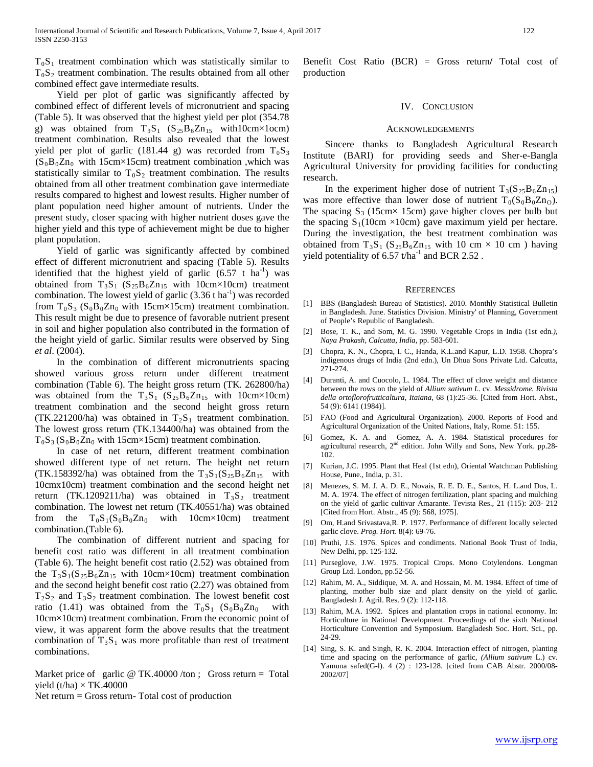$T_0S_1$  treatment combination which was statistically similar to  $T_0S_2$  treatment combination. The results obtained from all other combined effect gave intermediate results.

 Yield per plot of garlic was significantly affected by combined effect of different levels of micronutrient and spacing (Table 5). It was observed that the highest yield per plot (354.78 g) was obtained from  $T_3S_1$  ( $S_{25}B_6Zn_{15}$  with10cm×1ocm) treatment combination. Results also revealed that the lowest yield per plot of garlic (181.44 g) was recorded from  $T_0S_3$  $(S_0B_0Zn_0$  with 15cm×15cm) treatment combination ,which was statistically similar to  $T_0S_2$  treatment combination. The results obtained from all other treatment combination gave intermediate results compared to highest and lowest results. Higher number of plant population need higher amount of nutrients. Under the present study, closer spacing with higher nutrient doses gave the higher yield and this type of achievement might be due to higher plant population.

 Yield of garlic was significantly affected by combined effect of different micronutrient and spacing (Table 5). Results identified that the highest yield of garlic  $(6.57 \text{ t} \text{ ha}^{-1})$  was obtained from  $T_3S_1$  (S<sub>25</sub>B<sub>6</sub>Zn<sub>15</sub> with 10cm×10cm) treatment combination. The lowest yield of garlic  $(3.36 \text{ tha}^{-1})$  was recorded from  $T_0S_3$  ( $S_0B_0Zn_0$  with 15cm×15cm) treatment combination. This result might be due to presence of favorable nutrient present in soil and higher population also contributed in the formation of the height yield of garlic. Similar results were observed by Sing *et al*. (2004).

 In the combination of different micronutrients spacing showed various gross return under different treatment combination (Table 6). The height gross return (TK. 262800/ha) was obtained from the  $T_3S_1$  ( $S_{25}B_6Zn_{15}$  with 10cm×10cm) treatment combination and the second height gross return (TK.221200/ha) was obtained in  $T_2S_1$  treatment combination. The lowest gross return (TK.134400/ha) was obtained from the  $T_0S_3$  ( $S_0B_0Zn_0$  with 15cm×15cm) treatment combination.

 In case of net return, different treatment combination showed different type of net return. The height net return (TK.158392/ha) was obtained from the  $T_3S_1(S_{25}B_6Zn_{15}$  with 10cmx10cm) treatment combination and the second height net return (TK.1209211/ha) was obtained in  $T_3S_2$  treatment combination. The lowest net return (TK.40551/ha) was obtained from the  $T_0S_1(S_0B_0Zn_0$  with  $10cm \times 10cm$  treatment combination.(Table 6).

 The combination of different nutrient and spacing for benefit cost ratio was different in all treatment combination (Table 6). The height benefit cost ratio (2.52) was obtained from the  $T_3S_1(S_{25}B_6Zn_{15}$  with 10cm×10cm) treatment combination and the second height benefit cost ratio (2.27) was obtained from  $T_2S_2$  and  $T_3S_2$  treatment combination. The lowest benefit cost ratio (1.41) was obtained from the  $T_0S_1$  (S<sub>0</sub>B<sub>0</sub>Zn<sub>0</sub> with 10cm×10cm) treatment combination. From the economic point of view, it was apparent form the above results that the treatment combination of  $T_3S_1$  was more profitable than rest of treatment combinations.

Market price of garlic  $\omega$  TK.40000/ton; Gross return = Total yield (t/ha)  $\times$  TK.40000

Net return  $=$  Gross return-Total cost of production

Benefit Cost Ratio (BCR) = Gross return**/** Total cost of production

#### IV. CONCLUSION

#### ACKNOWLEDGEMENTS

 Sincere thanks to Bangladesh Agricultural Research Institute (BARI) for providing seeds and Sher-e-Bangla Agricultural University for providing facilities for conducting research.

In the experiment higher dose of nutrient  $T_3(S_2S_6Zn_{15})$ was more effective than lower dose of nutrient  $T_0(S_0B_0Zn_0)$ . The spacing  $S_3$  (15cm× 15cm) gave higher cloves per bulb but the spacing  $S_1(10cm \times 10cm)$  gave maximum yield per hectare. During the investigation, the best treatment combination was obtained from  $T_3S_1$  (S<sub>25</sub>B<sub>6</sub>Zn<sub>15</sub> with 10 cm × 10 cm ) having yield potentiality of  $6.57$  t/ha<sup>-1</sup> and BCR 2.52.

#### **REFERENCES**

- [1] BBS (Bangladesh Bureau of Statistics). 2010. Monthly Statistical Bulletin in Bangladesh. June. Statistics Division. Ministry' of Planning, Government of People's Republic of Bangladesh.
- [2] Bose, T. K., and Som, M. G. 1990. Vegetable Crops in India (1st edn*.), Naya Prakash, Calcutta, India,* pp. 583-601.
- [3] Chopra, K. N., Chopra, I. C., Handa, K.L.and Kapur, L.D. 1958. Chopra's indigenous drugs of India (2nd edn.), Un Dhua Sons Private Ltd. Calcutta, 271-274.
- [4] Duranti, A. and Cuocolo, L. 1984. The effect of clove weight and distance between the rows on the yield of *Allium sativum L.* cv. *Messidrome. Rivista della ortoflorofrutticaltura, Itaiana,* 68 (1):25-36. [Cited from Hort. Abst., 54 (9): 6141 (1984)].
- [5] FAO (Food and Agricultural Organization). 2000. Reports of Food and Agricultural Organization of the United Nations, Italy, Rome. 51: 155.
- [6] Gomez, K. A. and Gomez, A. A. 1984. Statistical procedures for agricultural research, 2<sup>nd</sup> edition. John Willy and Sons, New York. pp.28-102.
- [7] Kurian, J.C. 1995. Plant that Heal (1st edn), Oriental Watchman Publishing House, Pune., India, p. 31.
- [8] Menezes, S. M. J. A. D. E., Novais, R. E. D. E., Santos, H. L.and Dos, L. M. A. 1974. The effect of nitrogen fertilization, plant spacing and mulching on the yield of garlic cultivar Amarante. Tevista Res., 21 (115): 203- 212 [Cited from Hort. Abstr., 45 (9): 568, 1975].
- [9] Om, H.and Srivastava,R. P. 1977. Performance of different locally selected garlic clove. *Prog. Hort*. 8(4): 69-76.
- [10] Pruthi, J.S. 1976. Spices and condiments. National Book Trust of India, New Delhi, pp. 125-132.
- [11] Purseglove, J.W. 1975. Tropical Crops. Mono Cotylendons. Longman Group Ltd. London, pp.52-56.
- [12] Rahim, M. A., Siddique, M. A. and Hossain, M. M. 1984. Effect of time of planting, mother bulb size and plant density on the yield of garlic. Bangladesh J. Agril. Res. 9 (2): 112-118.
- [13] Rahim, M.A. 1992. Spices and plantation crops in national economy. In: Horticulture in National Development. Proceedings of the sixth National Horticulture Convention and Symposium. Bangladesh Soc. Hort. Sci., pp. 24-29.
- [14] Sing, S. K. and Singh, R. K. 2004. Interaction effect of nitrogen, planting time and spacing on the performance of garlic, *(Allium sativum* L.) cv. Yamuna safed(G-l). 4 (2) : 123-128. [cited from CAB Abstr. 2000/08- 2002/07]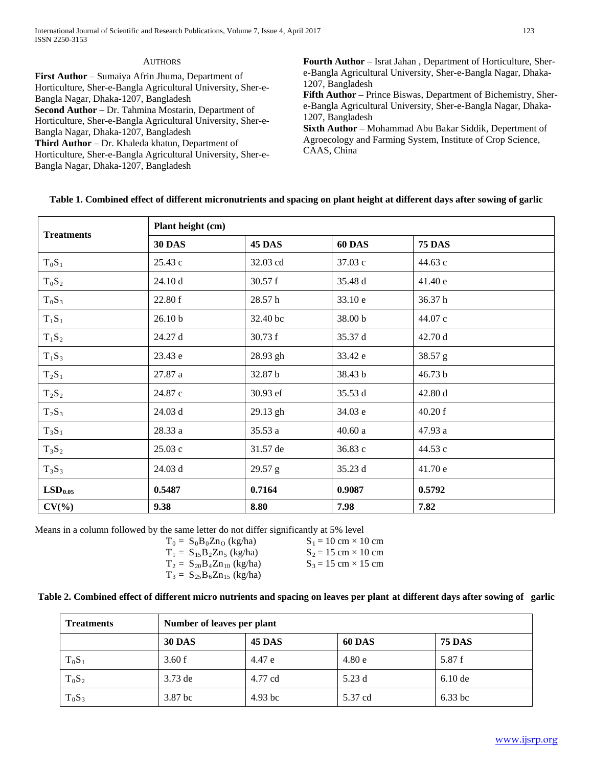| <b>AUTHORS</b>                                                                                                                                                                                                                                                                                                                                                                                                                                                                              | <b>Fourth Author</b> – Israt Jahan, Department of Horticulture, Sher-                                                                                                                                                                                                                                                                                                                   |
|---------------------------------------------------------------------------------------------------------------------------------------------------------------------------------------------------------------------------------------------------------------------------------------------------------------------------------------------------------------------------------------------------------------------------------------------------------------------------------------------|-----------------------------------------------------------------------------------------------------------------------------------------------------------------------------------------------------------------------------------------------------------------------------------------------------------------------------------------------------------------------------------------|
| First Author – Sumaiya Afrin Jhuma, Department of<br>Horticulture, Sher-e-Bangla Agricultural University, Sher-e-<br>Bangla Nagar, Dhaka-1207, Bangladesh<br>Second Author - Dr. Tahmina Mostarin, Department of<br>Horticulture, Sher-e-Bangla Agricultural University, Sher-e-<br>Bangla Nagar, Dhaka-1207, Bangladesh<br><b>Third Author</b> – Dr. Khaleda khatun, Department of<br>Horticulture, Sher-e-Bangla Agricultural University, Sher-e-<br>Bangla Nagar, Dhaka-1207, Bangladesh | e-Bangla Agricultural University, Sher-e-Bangla Nagar, Dhaka-<br>1207, Bangladesh<br>Fifth Author – Prince Biswas, Department of Bichemistry, Sher-<br>e-Bangla Agricultural University, Sher-e-Bangla Nagar, Dhaka-<br>1207, Bangladesh<br><b>Sixth Author</b> – Mohammad Abu Bakar Siddik, Depertment of<br>Agroecology and Farming System, Institute of Crop Science,<br>CAAS, China |

# **Table 1. Combined effect of different micronutrients and spacing on plant height at different days after sowing of garlic**

|                     |                    | Plant height (cm) |               |               |  |  |  |
|---------------------|--------------------|-------------------|---------------|---------------|--|--|--|
| <b>Treatments</b>   | <b>30 DAS</b>      | <b>45 DAS</b>     | <b>60 DAS</b> | <b>75 DAS</b> |  |  |  |
| $T_0S_1$            | 25.43 c            | 32.03 cd          | 37.03 c       | 44.63 c       |  |  |  |
| $T_0S_2$            | 24.10 d            | 30.57 f           | 35.48 d       | 41.40 e       |  |  |  |
| $T_0S_3$            | 22.80 f            | 28.57h            | 33.10 e       | 36.37h        |  |  |  |
| $T_1S_1$            | 26.10 <sub>b</sub> | 32.40 bc          | 38.00 b       | 44.07 c       |  |  |  |
| $T_1S_2$            | 24.27 d            | 30.73 f           | 35.37 d       | 42.70 d       |  |  |  |
| $T_1S_3$            | 23.43 e            | 28.93 gh          | 33.42 e       | 38.57 g       |  |  |  |
| $T_2S_1$            | 27.87 a            | 32.87 b           | 38.43 b       | 46.73 b       |  |  |  |
| $T_2S_2$            | 24.87 c            | 30.93 ef          | 35.53 d       | 42.80 d       |  |  |  |
| $T_2S_3$            | 24.03 d            | 29.13 gh          | 34.03 e       | 40.20 f       |  |  |  |
| $T_3S_1$            | 28.33 a            | 35.53 a           | 40.60a        | 47.93 a       |  |  |  |
| $T_3S_2$            | 25.03 c            | 31.57 de          | 36.83 c       | 44.53 c       |  |  |  |
| $T_3S_3$            | 24.03 d            | 29.57 g           | 35.23 d       | 41.70 e       |  |  |  |
| LSD <sub>0.05</sub> | 0.5487             | 0.7164            | 0.9087        | 0.5792        |  |  |  |
| $CV(\% )$           | 9.38               | 8.80              | 7.98          | 7.82          |  |  |  |

Means in a column followed by the same letter do not differ significantly at 5% level

| $T_0 = S_0 B_0 Z n_O$ (kg/ha)    |
|----------------------------------|
| $T_1 = S_{15}B_2Zn_5$ (kg/ha)    |
| $T_2 = S_{20}B_4Zn_{10}$ (kg/ha) |
| $T_3 = S_{25}B_6Zn_{15}$ (kg/ha) |

 $S_1 = 10$  cm  $\times$  10 cm  $S_2 = 15$  cm  $\times 10$  cm  $S_3 = 15$  cm  $\times$  15 cm

# **Table 2. Combined effect of different micro nutrients and spacing on leaves per plant at different days after sowing of garlic**

| <b>Treatments</b> | Number of leaves per plant |               |               |               |
|-------------------|----------------------------|---------------|---------------|---------------|
|                   | <b>30 DAS</b>              | <b>45 DAS</b> | <b>60 DAS</b> | <b>75 DAS</b> |
| $T_0S_1$          | 3.60 f                     | 4.47 e        | 4.80e         | 5.87 f        |
| $T_0S_2$          | $3.73$ de                  | 4.77 cd       | 5.23 d        | $6.10$ de     |
| $T_0S_3$          | 3.87 bc                    | $4.93$ bc     | 5.37 cd       | $6.33$ bc     |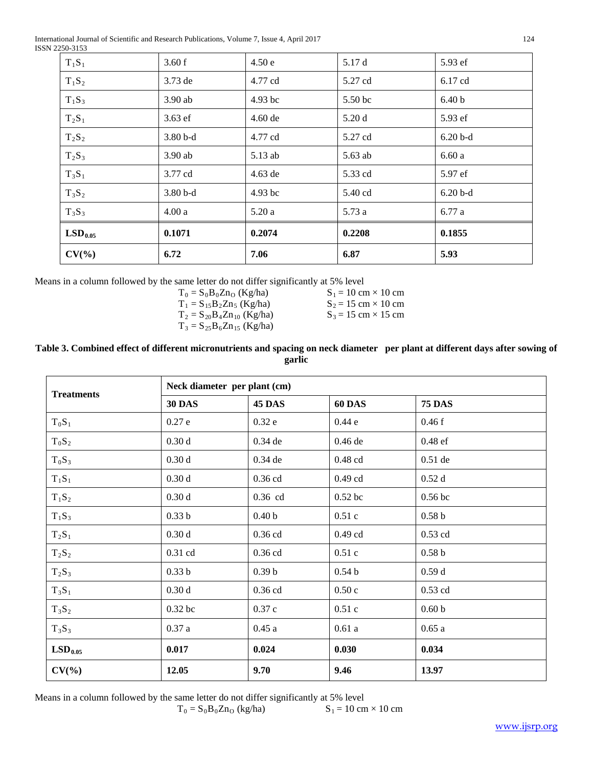International Journal of Scientific and Research Publications, Volume 7, Issue 4, April 2017 124 ISSN 2250-3153

| $T_1S_1$            | 3.60 f    | 4.50e     | 5.17 d  | 5.93 ef           |
|---------------------|-----------|-----------|---------|-------------------|
| $T_1S_2$            | $3.73$ de | 4.77 cd   | 5.27 cd | 6.17 cd           |
| $T_1S_3$            | $3.90$ ab | 4.93 bc   | 5.50 bc | 6.40 <sub>b</sub> |
| $T_2S_1$            | $3.63$ ef | $4.60$ de | 5.20d   | 5.93 ef           |
| $T_2S_2$            | $3.80b-d$ | 4.77 cd   | 5.27 cd | $6.20 b-d$        |
| $T_2S_3$            | $3.90$ ab | 5.13 ab   | 5.63 ab | 6.60a             |
| $T_3S_1$            | 3.77 cd   | 4.63 de   | 5.33 cd | 5.97 ef           |
| $T_3S_2$            | $3.80b-d$ | $4.93$ bc | 5.40 cd | $6.20 b-d$        |
| $T_3S_3$            | 4.00a     | 5.20a     | 5.73 a  | 6.77 a            |
| LSD <sub>0.05</sub> | 0.1071    | 0.2074    | 0.2208  | 0.1855            |
| $CV(\% )$           | 6.72      | 7.06      | 6.87    | 5.93              |

Means in a column followed by the same letter do not differ significantly at 5% level

 $T_0 = S_0 B_0 Z n_O$  (Kg/ha)  $T_1 = S_{15}B_2Zn_5$  (Kg/ha)  $T_2 = S_{20}B_4Zn_{10}$  (Kg/ha)  $T_3 = S_{25}B_6Zn_{15}$  (Kg/ha)  $S_1 = 10$  cm  $\times$  10 cm  $S_2 = 15$  cm  $\times$  10 cm  $S_3 = 15$  cm  $\times$  15 cm

## **Table 3. Combined effect of different micronutrients and spacing on neck diameter per plant at different days after sowing of garlic**

| <b>Treatments</b>   | Neck diameter per plant (cm) |                   |                   |                   |  |
|---------------------|------------------------------|-------------------|-------------------|-------------------|--|
|                     | <b>30 DAS</b>                | 45 DAS            | <b>60 DAS</b>     | <b>75 DAS</b>     |  |
| $T_0S_1$            | 0.27e                        | 0.32e             | 0.44e             | 0.46f             |  |
| $T_0S_2$            | 0.30d                        | $0.34$ de         | 0.46 de           | 0.48 ef           |  |
| $T_0S_3$            | 0.30d                        | $0.34$ de         | $0.48$ cd         | $0.51$ de         |  |
| $T_1S_1$            | 0.30d                        | 0.36 cd           | $0.49$ cd         | 0.52d             |  |
| $T_1S_2$            | 0.30d                        | 0.36 cd           | $0.52$ bc         | $0.56$ bc         |  |
| $T_1S_3$            | 0.33 <sub>b</sub>            | 0.40 <sub>b</sub> | 0.51c             | 0.58 <sub>b</sub> |  |
| $T_2S_1$            | 0.30d                        | 0.36 cd           | $0.49$ cd         | $0.53$ cd         |  |
| $T_2S_2$            | 0.31 cd                      | $0.36$ cd         | 0.51c             | 0.58 <sub>b</sub> |  |
| $T_2S_3$            | 0.33 <sub>b</sub>            | 0.39 <sub>b</sub> | 0.54 <sub>b</sub> | 0.59d             |  |
| $T_3S_1$            | 0.30d                        | 0.36 cd           | 0.50c             | $0.53$ cd         |  |
| $T_3S_2$            | 0.32 bc                      | 0.37c             | 0.51c             | 0.60 <sub>b</sub> |  |
| $T_3S_3$            | 0.37a                        | 0.45a             | 0.61a             | 0.65a             |  |
| LSD <sub>0.05</sub> | 0.017                        | 0.024             | 0.030             | 0.034             |  |
| $CV(\% )$           | 12.05                        | 9.70              | 9.46              | 13.97             |  |

Means in a column followed by the same letter do not differ significantly at 5% level<br> $T_0 = S_0 B_0 Z n_O$  (kg/ha)  $S_1 = 10$  cm

$$
T_0 = S_0 B_0 Z n_O
$$
 (kg/ha)  $S_1 = 10 \text{ cm} \times 10 \text{ cm}$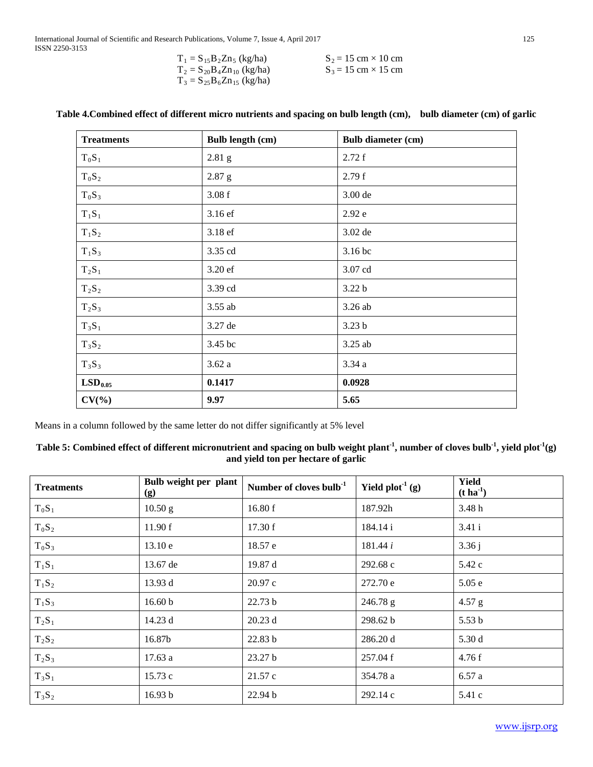| $T_1 = S_{15}B_2Zn_5$ (kg/ha)    | $S_2 = 15$ cm $\times$ 10 cm |
|----------------------------------|------------------------------|
| $T_2 = S_{20}B_4Zn_{10}$ (kg/ha) | $S_3 = 15$ cm $\times$ 15 cm |
| $T_3 = S_{25}B_6Zn_{15}$ (kg/ha) |                              |

| <b>Treatments</b>   | <b>Bulb length (cm)</b> | <b>Bulb diameter (cm)</b> |
|---------------------|-------------------------|---------------------------|
| $T_0S_1$            | $2.81$ g                | 2.72 f                    |
| $T_0S_2$            | $2.87$ g                | 2.79f                     |
| $T_0S_3$            | 3.08f                   | 3.00 de                   |
| $T_1S_1$            | 3.16 ef                 | 2.92 e                    |
| $T_1S_2$            | 3.18 ef                 | 3.02 de                   |
| $T_1S_3$            | 3.35 cd                 | 3.16 bc                   |
| $T_2S_1$            | 3.20 ef                 | 3.07 cd                   |
| $T_2S_2$            | 3.39 cd                 | 3.22 <sub>b</sub>         |
| $T_2S_3$            | 3.55 ab                 | 3.26 ab                   |
| $T_3S_1$            | 3.27 de                 | 3.23 <sub>b</sub>         |
| $T_3S_2$            | 3.45 bc                 | 3.25 ab                   |
| $T_3S_3$            | 3.62a                   | 3.34a                     |
| LSD <sub>0.05</sub> | 0.1417                  | 0.0928                    |
| $CV(\% )$           | 9.97                    | 5.65                      |

# **Table 4.Combined effect of different micro nutrients and spacing on bulb length (cm), bulb diameter (cm) of garlic**

Means in a column followed by the same letter do not differ significantly at 5% level

## Table 5: Combined effect of different micronutrient and spacing on bulb weight plant<sup>-1</sup>, number of cloves bulb<sup>-1</sup>, yield plot<sup>-1</sup>(g) **and yield ton per hectare of garlic**

| <b>Treatments</b> | Bulb weight per plant<br>(g) | Number of cloves bulb $1$ | Yield $plot-1(g)$ | <b>Yield</b><br>$(t \, \mathrm{ha}^{-1})$ |
|-------------------|------------------------------|---------------------------|-------------------|-------------------------------------------|
| $T_0S_1$          | 10.50 g                      | 16.80 f                   | 187.92h           | 3.48h                                     |
| $T_0S_2$          | 11.90 f                      | 17.30 f                   | 184.14 i          | 3.41i                                     |
| $T_0S_3$          | 13.10 e                      | 18.57 e                   | 181.44 i          | 3.36j                                     |
| $T_1S_1$          | 13.67 de                     | 19.87 d                   | 292.68 c          | 5.42 c                                    |
| $T_1S_2$          | 13.93 d                      | 20.97c                    | 272.70 e          | 5.05e                                     |
| $T_1S_3$          | 16.60 b                      | 22.73 b                   | $246.78$ g        | $4.57$ g                                  |
| $T_2S_1$          | 14.23 d                      | 20.23d                    | 298.62 b          | 5.53 <sub>b</sub>                         |
| $T_2S_2$          | 16.87b                       | 22.83 b                   | 286.20 d          | 5.30 d                                    |
| $T_2S_3$          | 17.63a                       | 23.27 <sub>b</sub>        | 257.04 f          | 4.76f                                     |
| $T_3S_1$          | 15.73 c                      | 21.57c                    | 354.78 a          | 6.57a                                     |
| $T_3S_2$          | 16.93 b                      | 22.94 b                   | 292.14c           | 5.41 c                                    |